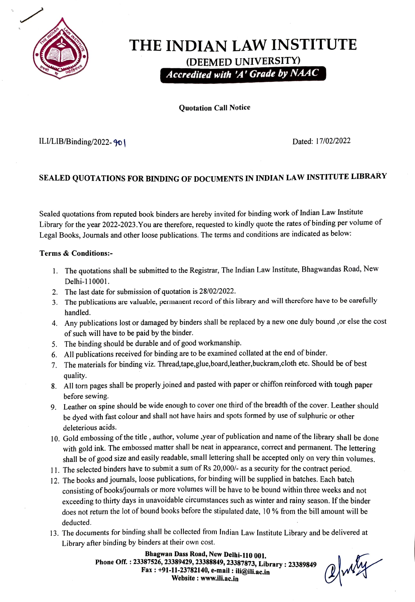

# THE INDIAN LAW INSTITUTE (DEEMED UNIVERSITY) Accredited with 'A'Grade by NAAC

Quotation Call Notice

#### ILI/LIB/Binding/2022- 90 | Dated: 17/02/2022

### SEALED QUOTATIONS FOR BINDING OF DOCUMENTS IN INDIAN LAW INSTITUTE LIBRARY

Sealed quotations from reputed book binders are hereby invited for binding work of Indian Law Institute Library for the year 2022-2023.You are therefore, requested to kindly quote the rates of binding per volume of Legal Books, Journals and other loose publications. The terms and conditions are indicated as below:

#### Terms&Conditions:

- 1. The quotations shall be submited to the Registrar, The Indian Law Institute, Bhagwandas Road, New Delhi-110001
- 2. The last date for submission of quotation is 28/02/2022.
- 3. The publications are valuable, permanent record of this library and will therefore have to be carefuly handled.
- 4. Any publications lost or damaged by binders shall be replaced by a new one duly bound ,or else the cost of such will have to be paid by the binder.
- 5. The binding should be durable and of good workmanship.
- 6. All publications received for binding are to be examined collated at the end of binder.
- 7. The materials for binding viz. Thread,tape,glue,board, Ieather,buckram,cloth etc. Should be of best quality.
- 8. All ton pages shall be properly joined and pasted with paper or chiffon reinforced with tough paper before sewing
- 9. Leather on spine should be wide enough to cover one third of the breadth of the cover. Leather should be dyed with fast colour and shall not have hairs and spots formed by use of sulphuric or other deleterious acids.
- 10. Gold embossing of the title, author, volume,year of publication and name of the library shall be done with gold ink. The embossed matter shall be neat in appearance, correct and permanent. The lettering shall be of good size and easily readable, small lettering shall be accepted only on very thin volumes.
- 11. The selected binders have to submit a sum of Rs 20,000/- as a security for the contract period.
- 12. The books and journals, loose publications, for binding will be supplied in batches. Each batch consisting of books/journals or more volumes will be have to be bound within three weeks and not exceeding to thirty days in unavoidable circumstances such as winter and rainy season. If the binder does not return the lot of bound books before the stipulated date, 10 % from the bill amount will be deducted.
- 13. The documents for binding shall be collected from Indian Law Institute Library and be delivered at Library after binding by binders at their own cost.

Bhagwan Dass Road, New Delhi-110 001. Phone Off. : 23387526, 23389429, 23388849, 23387873, Library : 23389849 Fax: +91-11-23782140, e-mail : ili@ili.ac.in Website: www.ili.ac.in

Inly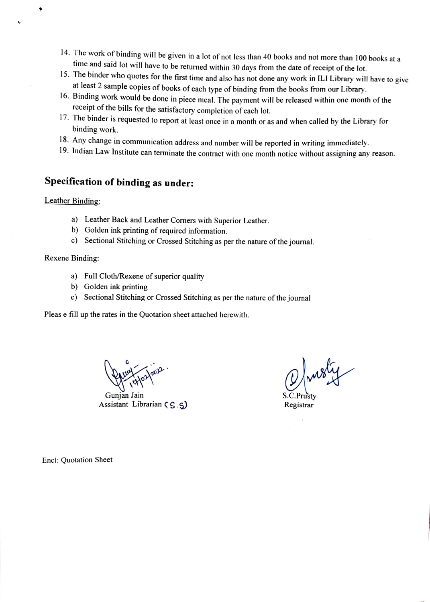- 14. The work of binding will be given in a lot of not less than 40 books and not more than 100 books at a
- time and said lot will have to be returned within 30 days from the date of receipt of the lot.<br>15. The binder who quotes for the first time and also has not done any work in ILI Library will have to give
- at least 2 sample copies of books of each type of binding from the books from our Library.<br>16. Binding work would be done in piece meal. The payment will be released within one month of the receipt of the bills for the sat
- 17. The binder is requested to report at least once in a month or as and when called by the Library for binding work.
- 
- 18. Any change in communication address and number will be reported in writing immediately.<br>19. Indian Law Institute can terminate the contract with one month notice without assigning any reason.

## Specification of binding as under:

Leather Binding:

- a) Leather Back and Leather Corners with Superior Leather.
- b) Golden ink printing of required information.
- c) Sectional Stitching or Crossed Stitching as per the nature of the journal.

Rexene Binding:

- a) Full Cloth/Rexene of superior quality
- b) Golden ink printing
- c) Sectional Stitching or Crossed Stitching as per the nature of the journal

Pleas e fill up the rates in the Quotation sheet attached herewith.

 $H_{\text{2002}}$ 

Gunjan Jain Assistant Librarian  $(S, S)$ 

Registrar

Encl: Quotation Sheet